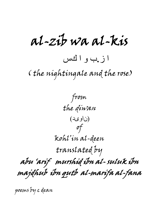al-zib wa al-kis ا ز.ب و ا كس ( the nightingale and the rose)

from the diwan (ناوید) of kohl'in al-deen translated by abu 'arif murshid ibn al- suluk ibn majdhub ibn qutb al-marifa al-fana

poems by c dean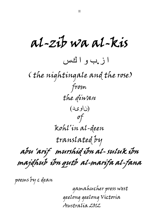al-zib wa al-kis ا ز.ب و ا كس ( the nightingale and the rose) from the diwan (ناوید) of kohl'in al-deen translated by abu 'arif murshid ibn al- suluk ibn majdhub ibn qutb al-marifa al-fana

poems by c dean

gamahucher press west geelong geelong Victoria Australia 2012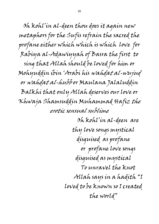Oh kohl'in al-deen thou does it again new metaphors for the Sufis refrain the sacred the profane either which which is which love for Rabiya al-Adawiyyah of Basra the first to sing that Allah should be loved for him or Mohyuddin ibin 'Arabi his wahdat al-wujud or wahdat al-hubb or Maulana Jalaluddin Balkhi that only Allah deserves our love or Khwaja Shamsuddin Muhammad Hafiz the erotic sensual sublime

> Oh kohl'in al-deen are thy love songs mystical disguised as profane or profane love songs disguised as mystical To unravel the knot Allah says in a hadith "I loved to be known so I created the world"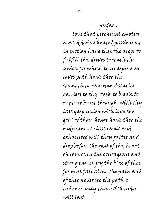## preface

love that perennial emotion heated desires heated passions set in motion have thee the ardor to fulfill thy drives to reach the union for which thou aspires on loves path have thee the strength to overcome obstacles barriers to thy task to break to rupture burst through with thy last gasp union with love the goal of thou heart have thee the endurance to last weak and exhausted will thou falter and drop before the goal of thy heart oh love only the courageous and strong can enjoy the bliss of thee for most fall along the path and of thee never see the path is arduous only those with ardor will last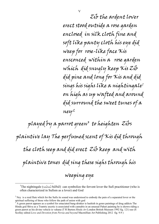Zib the ardent lover erect stood outside a rose garden enclosed in silk cloth fine and soft like panty cloth his eye did weep for rose-like face Kis ensconced within a rose garden which did snugly keep Kis Zib did pine and long for Kis and did sings his sighs like a nightingale<sup>1</sup> on high as up wafted and around did surround the sweet tunes of a ney<sup>2</sup>

played by a parrot green $\bar{z}$  to heighten Zibs plaintive lay The perfumed scent of Kis did through the cloth seep and did erect Zib keep and with plaintive tones did sing these sighs through his weeping eye

 $\overline{\phantom{0}1}$ The nightingale (لبلب *bülbül*) can symbolize the fervent lover the Sufi practitioner (who is often characterized in Sufism as a lover) and God

V

 $2$  Ney is a reed flute which for the Sufis its sound was understood to embody the pain of a separated lover or the spiritual suffering of those who follow the path of union with god

A green parrot appears as a symbol for emaciated bang-drinker ie hashish in genre paintings of drug addicts The Hindu god Shiva as a Trantric ascetic is associated with cannabis in an unusual Pahari painting he is shown riding a green parrot as his divine vehicle ie vahana (T R Burton *Hindu Art* London British Museum 1992 fig. 121) see (S Scollay edited *Love and Devotion from Persia and beyond* Macmillian Art Publishing 2012 fig. 9.9 )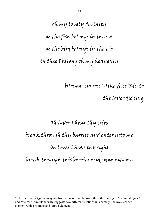oh my lovely divinity as the fish belongs in the sea as the bird belongs in the air in thee I belong oh my heavenly

> Blossoming rose<sup>4</sup>-like face Kis *to* the lover did sing

## Oh lover I hear thy cries break through this barrier and enter into me Oh lover I hear thy sighs break through this barrier and come into me

 $\overline{a}$ 

The the rose ( $\frac{1}{2}$ ) can symbolize the inconstant beloved thus, the pairing of "the nightingale" and "the rose" simultaneously suggests two different relationships namely the mystical Sufi element with a profane and erotic element.: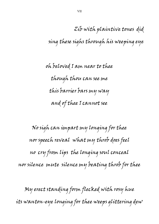Zib with plaintive tones did

sing these sighs through his weeping eye

oh beloved I am near to thee though thou can see me this barrier bars my way and of thee I cannot see

No sigh can impart my longing for thee nor speech reveal what my throb does feel no cry from lips the longing soul conceal nor silence mute silence my beating throb for thee

My erect standing form flecked with rosy hue its wanton-eye longing for thee weeps glittering dew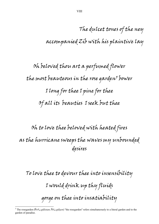The dulcet tones of the ney accompanied Zib with his plaintive lay

Oh beloved thou art a perfumed flower the most beauteous in the rose qarden<sup>5</sup> bower I long for thee I pine for thee Of all its beauties I seek but thee

Oh to love thee beloved with heated fires as the hurricane sweeps the waves my unbounded desires

To love thee to devour thee into insensibility I would drink up thy fluids gorge on thee into insatiability

 $\overline{a}$ 5 The rosegarden (ناتسلگ *gülistan*; نشلگ *gülşen*) "the rosegarden" refers simultaneously to a literal garden and to the garden of paradise.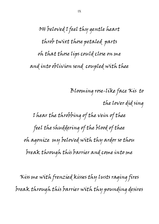OH beloved I feel thy gentle heart throb twixt those petaled parts oh that those lips could close on me and into oblivion send coupled with thee

Blooming rose-like face Kis to the lover did sing I hear the throbbing of the vein of thee feel the shuddering of the blood of thee oh agonize my beloved with thy ardor so thou break through this barrier and come into me

Kiss me with frenzied kisses thy lusts raging fires break through this barrier with thy pounding desires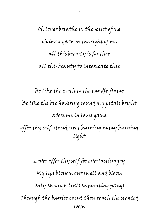Oh lover breathe in the scent of me oh lover gaze on the sight of me all this beauty is for thee all this beauty to intoxicate thee

Be like the moth to the candle flame Be like the bee hovering round my petals bright adore me in loves game offer thy self stand erect burning in my burning light

Lover offer thy self for everlasting joy My lips blossom out swell and bloom Only through lusts tormenting pangs Through the barrier canst thou reach the scented room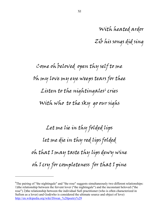With heated ardor

Zib his songs did sing

Come oh beloved open thy self to me Oh my love my eye weeps tears for thee Listen to the nightingales $^{\rm 6}$  cries With who to the sky go our sighs

Let me lie in thy folded lips let me die in thy red lips folded oh that I may taste thy lips dewy wine oh I cry for completeness for that I pine

 $\overline{a}$ 

<sup>&</sup>lt;sup>6</sup>The pairing of "the nightingale" and "the rose" suggests simultaneously two different relationships: 1)the relationship between the fervent lover ("the nightingale") and the inconstant beloved ("the rose") 2)the relationship between the individual Sufi practitioner (who is often characterized in Sufism as a lover) and God(who is considered the ultimate source and object of love) http://en.wikipedia.org/wiki/Diwan\_%28poetry%29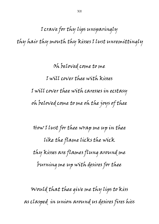I crave for thy lips unsparingly thy hair thy mouth thy kisses I lust unremittingly

> Oh beloved come to me I will cover thee with kisses I will cover thee with caresses in ecstasy oh beloved come to me oh the joys of thee

How I lust for thee wrap me up in thee like the flame licks the wick thy kisses are flames flung around me burning me up with desires for thee

Would that thee give me thy lips to kiss as clasped in union around us desires fires hiss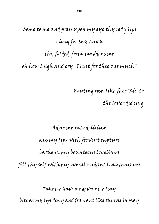Come to me and press upon my eye thy redy lips I long for thy touch thy folded form maddens me oh how I sigh and cry "I lust for thee o'er much"

> Pouting rose-like face Kis to the lover did sing

## Adore me into delirium kiss my lips with fervent rapture bathe in my bounteous loveliness fill thy self with my overabundant beauteousness

Take me have me devour me I say

bite on my lips dewy and fragrant like the rose in May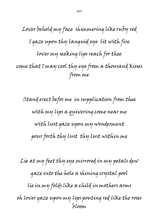Lover behold my face shimmering like ruby red I gaze upon thy languid eye lit with fire lover my seeking lips reach for thee come that I may cool thy eye from a thousand kisses from me

Stand erect befor me in supplication from thee with my lips a quivering come near me with lust gaze upon my wonderment pour forth thy lust thy lust within me

Lie at my feet thy eye mirrored in my petals dew gaze into the hole a shining crystal pool lie in my folds like a child in mothers arms oh lover gaze upon my lips pouting red like the roses bloom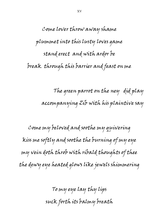Come lover throw away shame plummet into this lusty loves game stand erect and with ardor be break through this barrier and feast on me

> The green parrot on the ney did play accompanying Zib with his plaintive say

Come my beloved and soothe my quivering kiss me softly and soothe the burning of my eye my vein doth throb with ribald thoughts of thee the dewy eye heated glows like jewels shimmering

> To my eye lay thy lips suck forth its balmy breath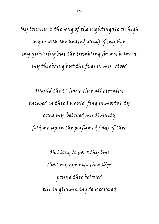My longing is the song of the nightingale on high my breath the heated winds of my sigh my quivering but the trembling for my beloved my throbbing but the fires in my blood

Would that I have thee all eternity encased in thee I would find immortality come my beloved my divinity fold me up in the perfumed folds of thee

> Oh I long to part thy lips that my eye into thee slips pound thee beloved till in glimmering dew covered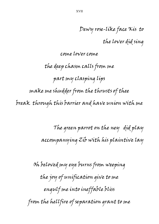Dewy rose-like face Kis to

the lover did sing

come lover come

the deep chasm calls from me part my clasping lips make me shudder from the thrusts of thee break through this barrier and have union with me

> The green parrot on the ney did play accompanying Zib with his plaintive lay

Oh beloved my eye burns from weeping the joy of unification give to me engulf me into ineffable bliss from the hellfire of separation grant to me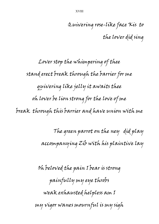Quivering rose-like face Kis to the lover did sing

Lover stop the whimpering of thee stand erect break through the barrier for me quivering like jelly it awaits thee oh lover be lion strong for the love of me break through this barrier and have union with me

> The green parrot on the ney did play accompanying Zib with his plaintive lay

Oh beloved the pain I bear is strong painfully my eye throbs weak exhausted helpless am I my vigor wanes mournful is my sigh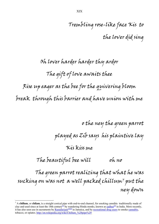## Oh lover harder harder thy ardor The gift of love awaits thee Rise up eager as the bee for the quivering bloom break through this barrier and have union with me

o the ney the green parrot played as Zib says his plaintive lay

Kis kiss me

The beautiful bee will oh no

The green parrot realizing that what he was sucking on was not a well packed chillum $^\tau$  put the ney down

 $\overline{a}$ 

<sup>&</sup>lt;sup>7</sup> A **chillum**, or **chilam**, is a straight conical pipe with end-to-end channel, for smoking cannibis traditionally made of clay and used since at least the 18th century<sup>[1]</sup> by wandering Hindu monks, known as sadhus<sup>[2]</sup> in India. More recently, it has also seen use in sacraments by **Rastafarians**<sup>[3][4]</sup> in Jamaica, and by recreational drug users to smoke cannabis, tobacco, or opiates. http://en.wikipedia.org/wiki/Chillum  $\frac{628}{90}$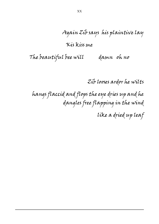Again Zib says his plaintive lay

Kis kiss me

The beautiful bee will ann oh no

 $\overline{a}$ 

Zib looses ardor he wilts

 hangs flaccid and flops the eye dries up and he dangles free flapping in the wind

like a dried up leaf